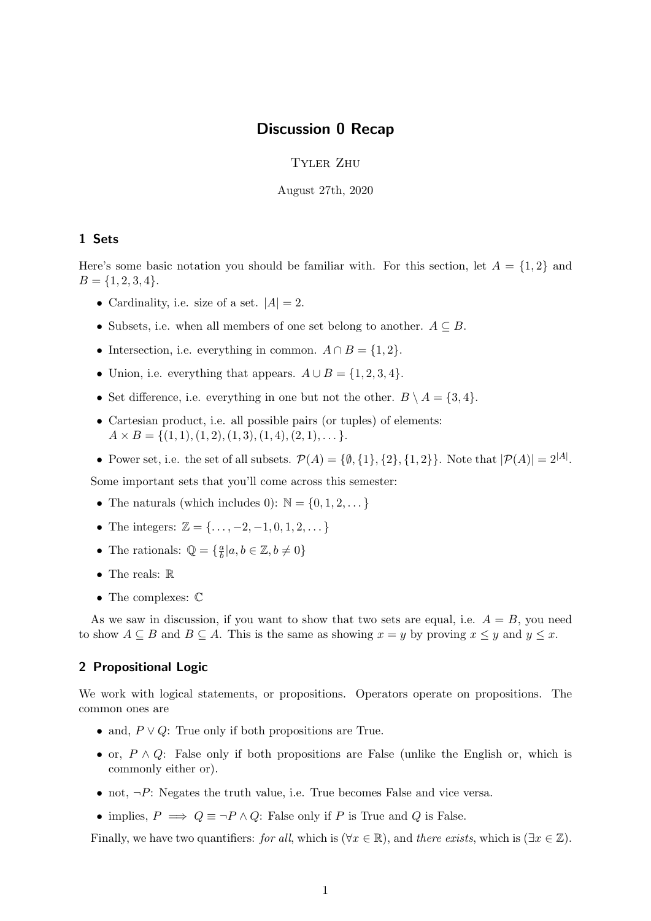## Discussion 0 Recap

Tyler Zhu

August 27th, 2020

## 1 Sets

Here's some basic notation you should be familiar with. For this section, let  $A = \{1, 2\}$  and  $B = \{1, 2, 3, 4\}.$ 

- Cardinality, i.e. size of a set.  $|A| = 2$ .
- Subsets, i.e. when all members of one set belong to another.  $A \subseteq B$ .
- Intersection, i.e. everything in common.  $A \cap B = \{1, 2\}.$
- Union, i.e. everything that appears.  $A \cup B = \{1, 2, 3, 4\}.$
- Set difference, i.e. everything in one but not the other.  $B \setminus A = \{3, 4\}.$
- Cartesian product, i.e. all possible pairs (or tuples) of elements:  $A \times B = \{(1, 1), (1, 2), (1, 3), (1, 4), (2, 1), \dots\}.$
- Power set, i.e. the set of all subsets.  $\mathcal{P}(A) = \{\emptyset, \{1\}, \{2\}, \{1, 2\}\}\.$  Note that  $|\mathcal{P}(A)| = 2^{|A|}$ .

Some important sets that you'll come across this semester:

- The naturals (which includes 0):  $\mathbb{N} = \{0, 1, 2, \dots\}$
- The integers:  $\mathbb{Z} = {\ldots, -2, -1, 0, 1, 2, \ldots}$
- The rationals:  $\mathbb{Q} = \{\frac{a}{b}\}$  $\frac{a}{b} | a, b \in \mathbb{Z}, b \neq 0 \}$
- The reals:  $\mathbb R$
- $\bullet\,$  The complexes:  $\mathbb C$

As we saw in discussion, if you want to show that two sets are equal, i.e.  $A = B$ , you need to show  $A \subseteq B$  and  $B \subseteq A$ . This is the same as showing  $x = y$  by proving  $x \le y$  and  $y \le x$ .

## 2 Propositional Logic

We work with logical statements, or propositions. Operators operate on propositions. The common ones are

- and,  $P \vee Q$ : True only if both propositions are True.
- or,  $P \wedge Q$ : False only if both propositions are False (unlike the English or, which is commonly either or).
- not,  $\neg P$ : Negates the truth value, i.e. True becomes False and vice versa.
- implies,  $P \implies Q \equiv \neg P \land Q$ : False only if P is True and Q is False.

Finally, we have two quantifiers: for all, which is ( $\forall x \in \mathbb{R}$ ), and there exists, which is ( $\exists x \in \mathbb{Z}$ ).